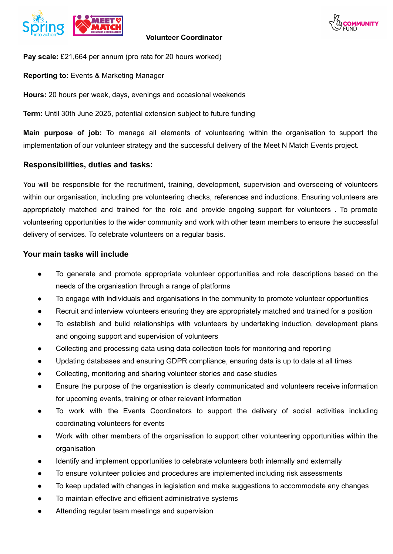



**Pay scale:** £21,664 per annum (pro rata for 20 hours worked)

**Reporting to:** Events & Marketing Manager

**Hours:** 20 hours per week, days, evenings and occasional weekends

**Term:** Until 30th June 2025, potential extension subject to future funding

**Main purpose of job:** To manage all elements of volunteering within the organisation to support the implementation of our volunteer strategy and the successful delivery of the Meet N Match Events project.

## **Responsibilities, duties and tasks:**

You will be responsible for the recruitment, training, development, supervision and overseeing of volunteers within our organisation, including pre volunteering checks, references and inductions. Ensuring volunteers are appropriately matched and trained for the role and provide ongoing support for volunteers . To promote volunteering opportunities to the wider community and work with other team members to ensure the successful delivery of services. To celebrate volunteers on a regular basis.

## **Your main tasks will include**

- To generate and promote appropriate volunteer opportunities and role descriptions based on the needs of the organisation through a range of platforms
- To engage with individuals and organisations in the community to promote volunteer opportunities
- Recruit and interview volunteers ensuring they are appropriately matched and trained for a position
- To establish and build relationships with volunteers by undertaking induction, development plans and ongoing support and supervision of volunteers
- Collecting and processing data using data collection tools for monitoring and reporting
- Updating databases and ensuring GDPR compliance, ensuring data is up to date at all times
- Collecting, monitoring and sharing volunteer stories and case studies
- Ensure the purpose of the organisation is clearly communicated and volunteers receive information for upcoming events, training or other relevant information
- To work with the Events Coordinators to support the delivery of social activities including coordinating volunteers for events
- Work with other members of the organisation to support other volunteering opportunities within the organisation
- Identify and implement opportunities to celebrate volunteers both internally and externally
- To ensure volunteer policies and procedures are implemented including risk assessments
- To keep updated with changes in legislation and make suggestions to accommodate any changes
- To maintain effective and efficient administrative systems
- Attending regular team meetings and supervision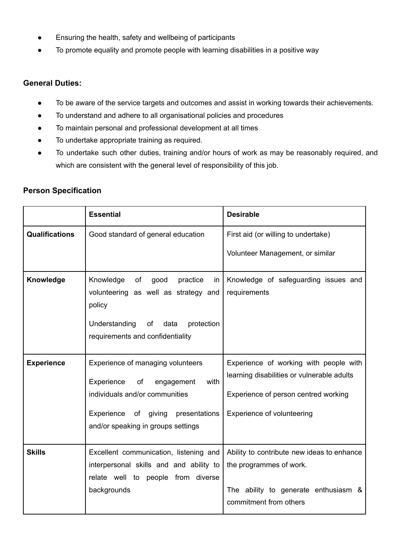- Ensuring the health, safety and wellbeing of participants
- To promote equality and promote people with learning disabilities in a positive way

## **General Duties:**

- To be aware of the service targets and outcomes and assist in working towards their achievements.
- To understand and adhere to all organisational policies and procedures
- To maintain personal and professional development at all times
- To undertake appropriate training as required.
- To undertake such other duties, training and/or hours of work as may be reasonably required, and which are consistent with the general level of responsibility of this job.

## **Person Specification**

|                       | <b>Essential</b>                                                                                                                                                                             | <b>Desirable</b>                                                                                                                                           |
|-----------------------|----------------------------------------------------------------------------------------------------------------------------------------------------------------------------------------------|------------------------------------------------------------------------------------------------------------------------------------------------------------|
| <b>Qualifications</b> | Good standard of general education                                                                                                                                                           | First aid (or willing to undertake)                                                                                                                        |
|                       |                                                                                                                                                                                              | Volunteer Management, or similar                                                                                                                           |
| Knowledge             | Knowledge<br>of<br>good<br>practice<br>in.<br>volunteering as well as strategy and<br>policy<br>Understanding<br>of data<br>protection<br>requirements and confidentiality                   | Knowledge of safeguarding issues and<br>requirements                                                                                                       |
| <b>Experience</b>     | Experience of managing volunteers<br>Experience<br>of<br>engagement<br>with<br>individuals and/or communities<br>Experience of giving<br>presentations<br>and/or speaking in groups settings | Experience of working with people with<br>learning disabilities or vulnerable adults<br>Experience of person centred working<br>Experience of volunteering |
| <b>Skills</b>         | Excellent communication, listening and<br>interpersonal skills and and ability to<br>relate well to people from diverse<br>backgrounds                                                       | Ability to contribute new ideas to enhance<br>the programmes of work.<br>The ability to generate enthusiasm &<br>commitment from others                    |